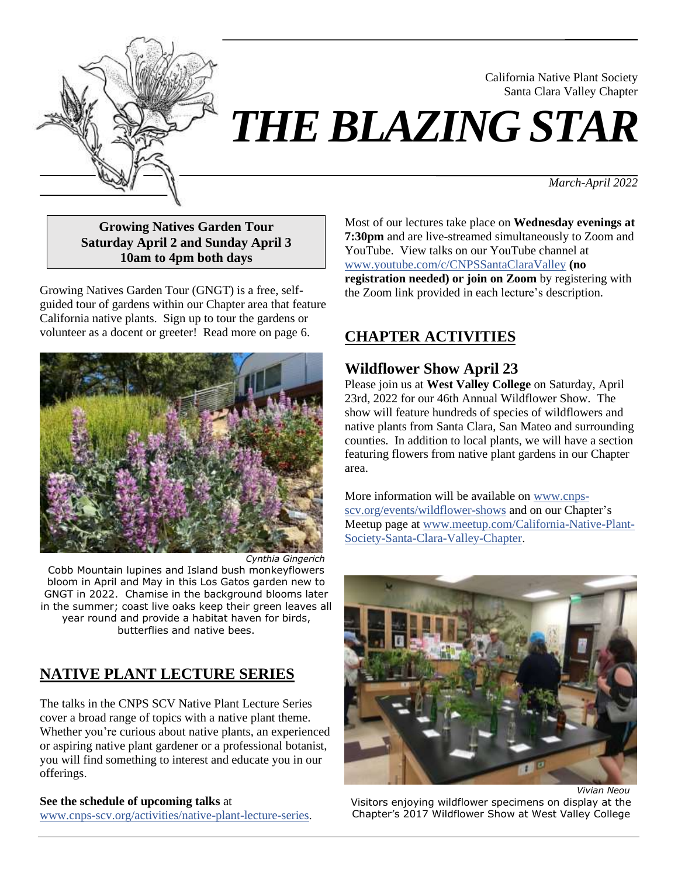

# *THE BLAZING STAR*

*March-April 2022*

California Native Plant Society Santa Clara Valley Chapter

**Growing Natives Garden Tour Saturday April 2 and Sunday April 3 10am to 4pm both days**

Growing Natives Garden Tour (GNGT) is a free, selfguided tour of gardens within our Chapter area that feature California native plants. Sign up to tour the gardens or volunteer as a docent or greeter! Read more on page 6.



Cobb Mountain lupines and Island bush monkeyflowers bloom in April and May in this Los Gatos garden new to GNGT in 2022. Chamise in the background blooms later in the summer; coast live oaks keep their green leaves all year round and provide a habitat haven for birds, butterflies and native bees.

# **NATIVE PLANT LECTURE SERIES**

The talks in the CNPS SCV Native Plant Lecture Series cover a broad range of topics with a native plant theme. Whether you're curious about native plants, an experienced or aspiring native plant gardener or a professional botanist, you will find something to interest and educate you in our offerings.

#### **See the schedule of upcoming talks** at

[www.cnps-scv.org/activities/native-plant-lecture-series.](https://cnps-scv.org/activities/native-plant-lecture-series)

Most of our lectures take place on **Wednesday evenings at 7:30pm** and are live-streamed simultaneously to Zoom and YouTube. View talks on our YouTube channel at [www.youtube.com/c/CNPSSantaClaraValley](https://www.youtube.com/c/CNPSSantaClaraValley) **(no registration needed) or join on Zoom** by registering with the Zoom link provided in each lecture's description.

# **CHAPTER ACTIVITIES**

## **Wildflower Show April 23**

Please join us at **West Valley College** on Saturday, April 23rd, 2022 for our 46th Annual Wildflower Show. The show will feature hundreds of species of wildflowers and native plants from Santa Clara, San Mateo and surrounding counties. In addition to local plants, we will have a section featuring flowers from native plant gardens in our Chapter area.

More information will be available on [www.cnps](https://www.cnps-scv.org/events/wildflower-shows/)[scv.org/events/wildflower-shows](https://www.cnps-scv.org/events/wildflower-shows/) and on our Chapter's Meetup page at [www.meetup.com/California-Native-Plant-](https://www.meetup.com/California-Native-Plant-Society-Santa-Clara-Valley-Chapter/)[Society-Santa-Clara-Valley-Chapter.](https://www.meetup.com/California-Native-Plant-Society-Santa-Clara-Valley-Chapter/)



*Vivian Neou*

Visitors enjoying wildflower specimens on display at the Chapter's 2017 Wildflower Show at West Valley College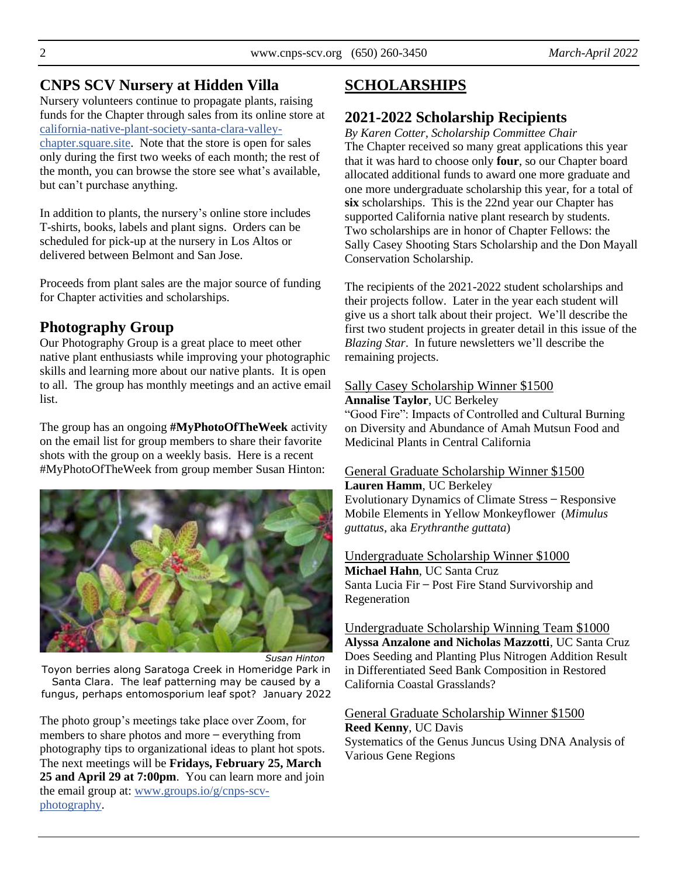## **CNPS SCV Nursery at Hidden Villa**

Nursery volunteers continue to propagate plants, raising funds for the Chapter through sales from its online store at [california-native-plant-society-santa-clara-valley](https://california-native-plant-society-santa-clara-valley-chapter.square.site/)[chapter.square.site.](https://california-native-plant-society-santa-clara-valley-chapter.square.site/) Note that the store is open for sales only during the first two weeks of each month; the rest of the month, you can browse the store see what's available, but can't purchase anything.

In addition to plants, the nursery's online store includes T-shirts, books, labels and plant signs. Orders can be scheduled for pick-up at the nursery in Los Altos or delivered between Belmont and San Jose.

Proceeds from plant sales are the major source of funding for Chapter activities and scholarships.

## **Photography Group**

Our Photography Group is a great place to meet other native plant enthusiasts while improving your photographic skills and learning more about our native plants. It is open to all. The group has monthly meetings and an active email list.

The group has an ongoing **#MyPhotoOfTheWeek** activity on the email list for group members to share their favorite shots with the group on a weekly basis. Here is a recent #MyPhotoOfTheWeek from group member Susan Hinton:



*Susan Hinton*

Toyon berries along Saratoga Creek in Homeridge Park in Santa Clara. The leaf patterning may be caused by a fungus, perhaps entomosporium leaf spot? January 2022

The photo group's meetings take place over Zoom, for members to share photos and more – everything from photography tips to organizational ideas to plant hot spots. The next meetings will be **Fridays, February 25, March 25 and April 29 at 7:00pm**. You can learn more and join the email group at: [www.groups.io/g/cnps-scv](https://www.groups.io/g/CNPS-SCV-Photography)[photography.](https://www.groups.io/g/CNPS-SCV-Photography)

# **SCHOLARSHIPS**

# **2021-2022 Scholarship Recipients**

*By Karen Cotter, Scholarship Committee Chair* The Chapter received so many great applications this year that it was hard to choose only **four**, so our Chapter board allocated additional funds to award one more graduate and one more undergraduate scholarship this year, for a total of **six** scholarships. This is the 22nd year our Chapter has supported California native plant research by students. Two scholarships are in honor of Chapter Fellows: the Sally Casey Shooting Stars Scholarship and the Don Mayall Conservation Scholarship.

The recipients of the 2021-2022 student scholarships and their projects follow. Later in the year each student will give us a short talk about their project. We'll describe the first two student projects in greater detail in this issue of the *Blazing Star*. In future newsletters we'll describe the remaining projects.

## Sally Casey Scholarship Winner \$1500

**Annalise Taylor**, UC Berkeley "Good Fire": Impacts of Controlled and Cultural Burning on Diversity and Abundance of Amah Mutsun Food and Medicinal Plants in Central California

#### General Graduate Scholarship Winner \$1500

# **Lauren Hamm**, UC Berkeley

Evolutionary Dynamics of Climate Stress ̶ Responsive Mobile Elements in Yellow Monkeyflower (*Mimulus guttatus*, aka *Erythranthe guttata*)

Undergraduate Scholarship Winner \$1000 **Michael Hahn**, UC Santa Cruz Santa Lucia Fir ̶ Post Fire Stand Survivorship and Regeneration

Undergraduate Scholarship Winning Team \$1000 **Alyssa Anzalone and Nicholas Mazzotti**, UC Santa Cruz Does Seeding and Planting Plus Nitrogen Addition Result in Differentiated Seed Bank Composition in Restored California Coastal Grasslands?

General Graduate Scholarship Winner \$1500 **Reed Kenny**, UC Davis Systematics of the Genus Juncus Using DNA Analysis of Various Gene Regions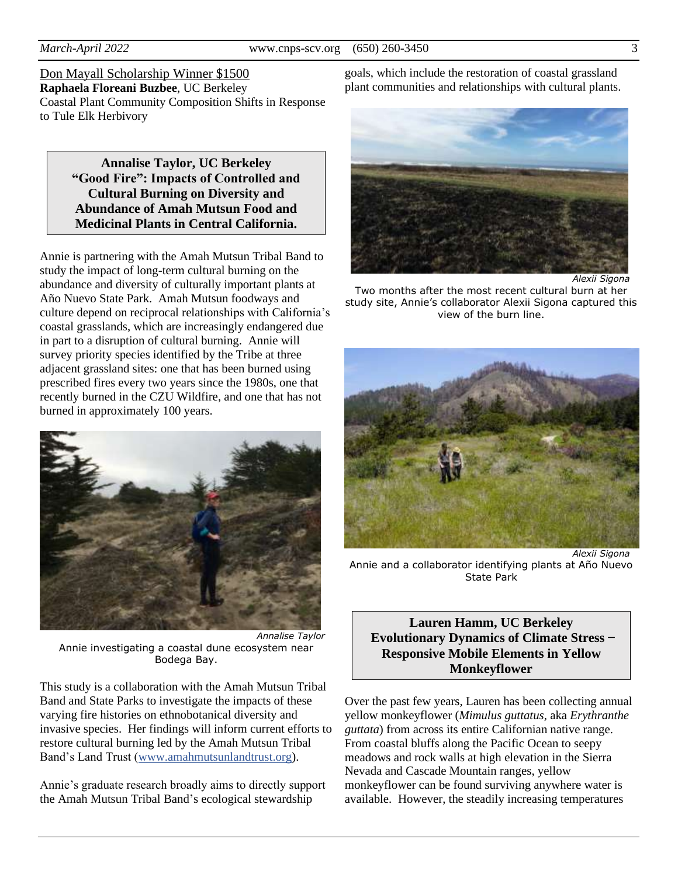Don Mayall Scholarship Winner \$1500 **Raphaela Floreani Buzbee**, UC Berkeley Coastal Plant Community Composition Shifts in Response to Tule Elk Herbivory

> **Annalise Taylor, UC Berkeley "Good Fire": Impacts of Controlled and Cultural Burning on Diversity and Abundance of Amah Mutsun Food and Medicinal Plants in Central California.**

Annie is partnering with the Amah Mutsun Tribal Band to study the impact of long-term cultural burning on the abundance and diversity of culturally important plants at Año Nuevo State Park. Amah Mutsun foodways and culture depend on reciprocal relationships with California's coastal grasslands, which are increasingly endangered due in part to a disruption of cultural burning. Annie will survey priority species identified by the Tribe at three adjacent grassland sites: one that has been burned using prescribed fires every two years since the 1980s, one that recently burned in the CZU Wildfire, and one that has not burned in approximately 100 years.



*Annalise Taylor* Annie investigating a coastal dune ecosystem near Bodega Bay.

This study is a collaboration with the Amah Mutsun Tribal Band and State Parks to investigate the impacts of these varying fire histories on ethnobotanical diversity and invasive species. Her findings will inform current efforts to restore cultural burning led by the Amah Mutsun Tribal Band's Land Trust [\(www.amahmutsunlandtrust.org\)](https://www.amahmutsunlandtrust.org/).

Annie's graduate research broadly aims to directly support the Amah Mutsun Tribal Band's ecological stewardship

goals, which include the restoration of coastal grassland plant communities and relationships with cultural plants.



Two months after the most recent cultural burn at her study site, Annie's collaborator Alexii Sigona captured this view of the burn line.



*Alexii Sigona* Annie and a collaborator identifying plants at Año Nuevo State Park

#### **Lauren Hamm, UC Berkeley Evolutionary Dynamics of Climate Stress ̶ Responsive Mobile Elements in Yellow Monkeyflower**

Over the past few years, Lauren has been collecting annual yellow monkeyflower (*Mimulus guttatus*, aka *Erythranthe guttata*) from across its entire Californian native range. From coastal bluffs along the Pacific Ocean to seepy meadows and rock walls at high elevation in the Sierra Nevada and Cascade Mountain ranges, yellow monkeyflower can be found surviving anywhere water is available. However, the steadily increasing temperatures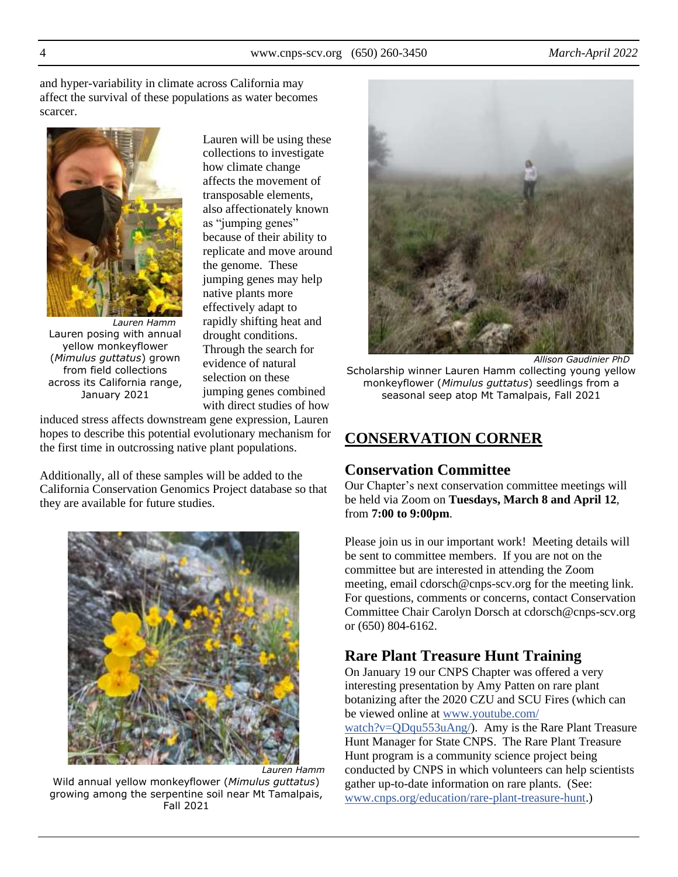and hyper-variability in climate across California may affect the survival of these populations as water becomes scarcer.



*Lauren Hamm* Lauren posing with annual yellow monkeyflower (*Mimulus guttatus*) grown from field collections across its California range, January 2021

Lauren will be using these collections to investigate how climate change affects the movement of transposable elements, also affectionately known as "jumping genes" because of their ability to replicate and move around the genome. These jumping genes may help native plants more effectively adapt to rapidly shifting heat and drought conditions. Through the search for evidence of natural selection on these jumping genes combined with direct studies of how

induced stress affects downstream gene expression, Lauren hopes to describe this potential evolutionary mechanism for the first time in outcrossing native plant populations.

Additionally, all of these samples will be added to the California Conservation Genomics Project database so that they are available for future studies.



*Lauren Hamm* Wild annual yellow monkeyflower (*Mimulus guttatus*) growing among the serpentine soil near Mt Tamalpais, Fall 2021



*Allison Gaudinier PhD* Scholarship winner Lauren Hamm collecting young yellow monkeyflower (*Mimulus guttatus*) seedlings from a seasonal seep atop Mt Tamalpais, Fall 2021

## **CONSERVATION CORNER**

#### **Conservation Committee**

Our Chapter's next conservation committee meetings will be held via Zoom on **Tuesdays, March 8 and April 12**, from **7:00 to 9:00pm**.

Please join us in our important work! Meeting details will be sent to committee members. If you are not on the committee but are interested in attending the Zoom meeting, email cdorsch@cnps-scv.org for the meeting link. For questions, comments or concerns, contact Conservation Committee Chair Carolyn Dorsch at cdorsch@cnps-scv.org or (650) 804-6162.

#### **Rare Plant Treasure Hunt Training**

On January 19 our CNPS Chapter was offered a very interesting presentation by Amy Patten on rare plant botanizing after the 2020 CZU and SCU Fires (which can be viewed online at [www.youtube.com/](https://www.youtube.com/watch?v=QDqu553uAng/)

[watch?v=QDqu553uAng/\)](https://www.youtube.com/watch?v=QDqu553uAng/). Amy is the Rare Plant Treasure Hunt Manager for State CNPS. The Rare Plant Treasure Hunt program is a community science project being conducted by CNPS in which volunteers can help scientists gather up-to-date information on rare plants. (See: [www.cnps.org/education/rare-plant-treasure-hunt.](https://www.cnps.org/education/rare-plant-treasure-hunt/))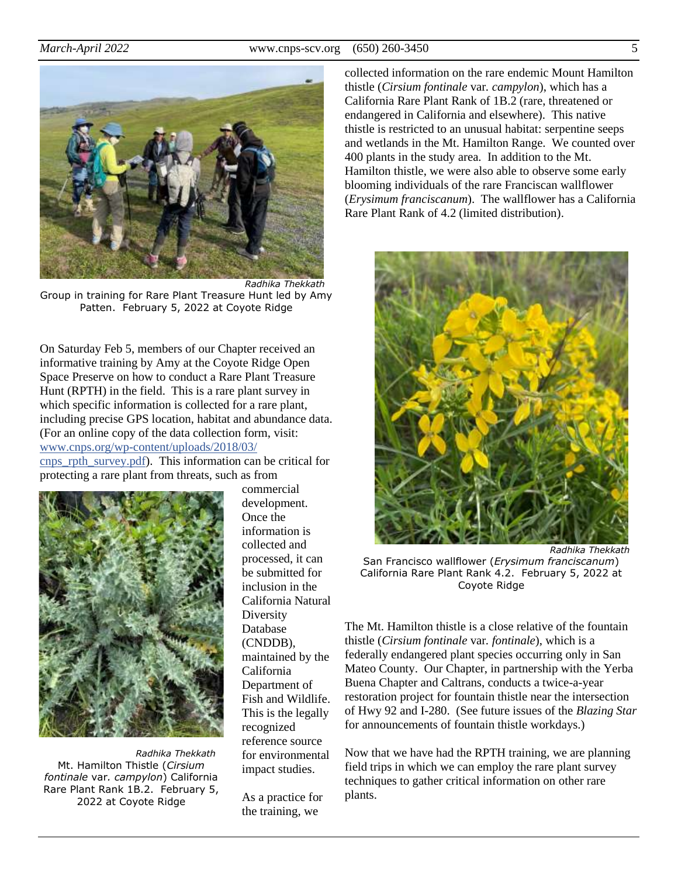

*Radhika Thekkath* Group in training for Rare Plant Treasure Hunt led by Amy Patten. February 5, 2022 at Coyote Ridge

On Saturday Feb 5, members of our Chapter received an informative training by Amy at the Coyote Ridge Open Space Preserve on how to conduct a Rare Plant Treasure Hunt (RPTH) in the field. This is a rare plant survey in which specific information is collected for a rare plant, including precise GPS location, habitat and abundance data. (For an online copy of the data collection form, visit: [www.cnps.org/wp-content/uploads/2018/03/](https://www.cnps.org/wp-content/uploads/2018/03/cnps_rpth_survey.pdf)

[cnps\\_rpth\\_survey.pdf\)](https://www.cnps.org/wp-content/uploads/2018/03/cnps_rpth_survey.pdf). This information can be critical for protecting a rare plant from threats, such as from



*Radhika Thekkath* Mt. Hamilton Thistle (*Cirsium fontinale* var*. campylon*) California Rare Plant Rank 1B.2. February 5, 2022 at Coyote Ridge

commercial development. Once the information is collected and processed, it can be submitted for inclusion in the California Natural **Diversity** Database (CNDDB), maintained by the California Department of Fish and Wildlife. This is the legally recognized reference source for environmental impact studies.

As a practice for the training, we

collected information on the rare endemic Mount Hamilton thistle (*Cirsium fontinale* var*. campylon*), which has a California Rare Plant Rank of 1B.2 (rare, threatened or endangered in California and elsewhere). This native thistle is restricted to an unusual habitat: serpentine seeps and wetlands in the Mt. Hamilton Range. We counted over 400 plants in the study area. In addition to the Mt. Hamilton thistle, we were also able to observe some early blooming individuals of the rare Franciscan wallflower (*Erysimum franciscanum*). The wallflower has a California Rare Plant Rank of 4.2 (limited distribution).



San Francisco wallflower (*Erysimum franciscanum*) California Rare Plant Rank 4.2. February 5, 2022 at Coyote Ridge

The Mt. Hamilton thistle is a close relative of the fountain thistle (*Cirsium fontinale* var*. fontinale*), which is a federally endangered plant species occurring only in San Mateo County. Our Chapter, in partnership with the Yerba Buena Chapter and Caltrans, conducts a twice-a-year restoration project for fountain thistle near the intersection of Hwy 92 and I-280. (See future issues of the *Blazing Star* for announcements of fountain thistle workdays.)

Now that we have had the RPTH training, we are planning field trips in which we can employ the rare plant survey techniques to gather critical information on other rare plants.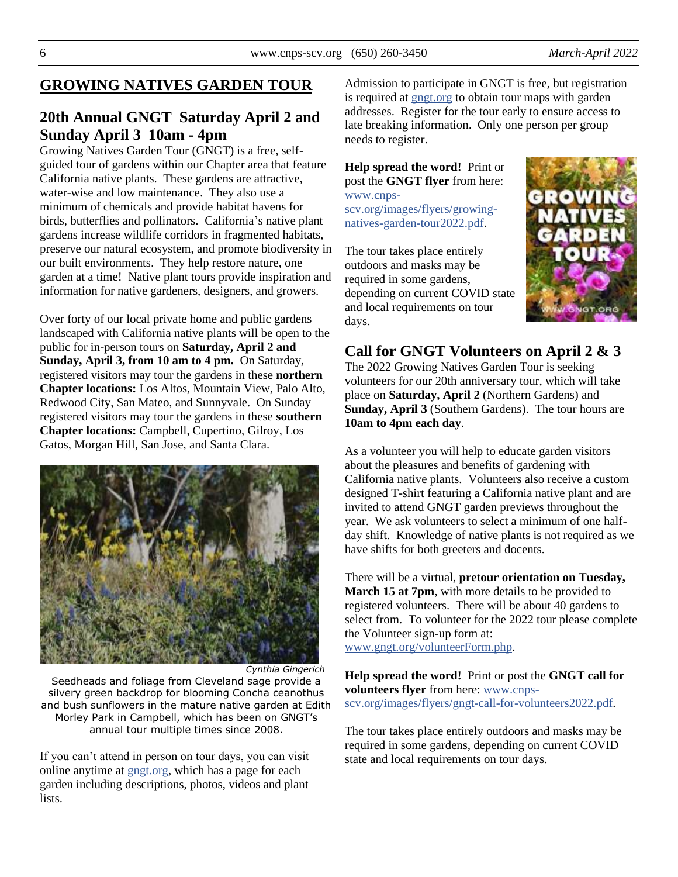## **GROWING NATIVES GARDEN TOUR**

## **20th Annual GNGT Saturday April 2 and Sunday April 3 10am - 4pm**

Growing Natives Garden Tour (GNGT) is a free, selfguided tour of gardens within our Chapter area that feature California native plants. These gardens are attractive, water-wise and low maintenance. They also use a minimum of chemicals and provide habitat havens for birds, butterflies and pollinators. California's native plant gardens increase wildlife corridors in fragmented habitats, preserve our natural ecosystem, and promote biodiversity in our built environments. They help restore nature, one garden at a time! Native plant tours provide inspiration and information for native gardeners, designers, and growers.

Over forty of our local private home and public gardens landscaped with California native plants will be open to the public for in-person tours on **Saturday, April 2 and Sunday, April 3, from 10 am to 4 pm.** On Saturday, registered visitors may tour the gardens in these **northern Chapter locations:** Los Altos, Mountain View, Palo Alto, Redwood City, San Mateo, and Sunnyvale. On Sunday registered visitors may tour the gardens in these **southern Chapter locations:** Campbell, Cupertino, Gilroy, Los Gatos, Morgan Hill, San Jose, and Santa Clara.



*Cynthia Gingerich*

Seedheads and foliage from Cleveland sage provide a silvery green backdrop for blooming Concha ceanothus and bush sunflowers in the mature native garden at Edith Morley Park in Campbell, which has been on GNGT's annual tour multiple times since 2008.

If you can't attend in person on tour days, you can visit online anytime at [gngt.org,](https://gngt.org/) which has a page for each garden including descriptions, photos, videos and plant lists.

Admission to participate in GNGT is free, but registration is required at [gngt.org](https://gngt.org/) to obtain tour maps with garden addresses. Register for the tour early to ensure access to late breaking information. Only one person per group needs to register.

**Help spread the word!** Print or post the **GNGT flyer** from here: [www.cnps](https://cnps-scv.org/images/flyers/growing-natives-garden-tour2022.pdf)[scv.org/images/flyers/growing](https://cnps-scv.org/images/flyers/growing-natives-garden-tour2022.pdf)[natives-garden-tour2022.pdf.](https://cnps-scv.org/images/flyers/growing-natives-garden-tour2022.pdf)

The tour takes place entirely outdoors and masks may be required in some gardens, depending on current COVID state and local requirements on tour days.



## **Call for GNGT Volunteers on April 2 & 3**

The 2022 Growing Natives Garden Tour is seeking volunteers for our 20th anniversary tour, which will take place on **Saturday, April 2** (Northern Gardens) and **Sunday, April 3** (Southern Gardens). The tour hours are **10am to 4pm each day**.

As a volunteer you will help to educate garden visitors about the pleasures and benefits of gardening with California native plants. Volunteers also receive a custom designed T-shirt featuring a California native plant and are invited to attend GNGT garden previews throughout the year. We ask volunteers to select a minimum of one halfday shift. Knowledge of native plants is not required as we have shifts for both greeters and docents.

There will be a virtual, **pretour orientation on Tuesday, March 15 at 7pm**, with more details to be provided to registered volunteers. There will be about 40 gardens to select from. To volunteer for the 2022 tour please complete the Volunteer sign-up form at: [www.gngt.org/volunteerForm.php.](https://www.gngt.org/volunteerForm.php)

**Help spread the word!** Print or post the **GNGT call for volunteers flyer** from here[: www.cnps](https://cnps-scv.org/images/flyers/gngt-call-for-volunteers2022.pdf)[scv.org/images/flyers/gngt-call-for-volunteers2022.pdf.](https://cnps-scv.org/images/flyers/gngt-call-for-volunteers2022.pdf)

The tour takes place entirely outdoors and masks may be required in some gardens, depending on current COVID state and local requirements on tour days.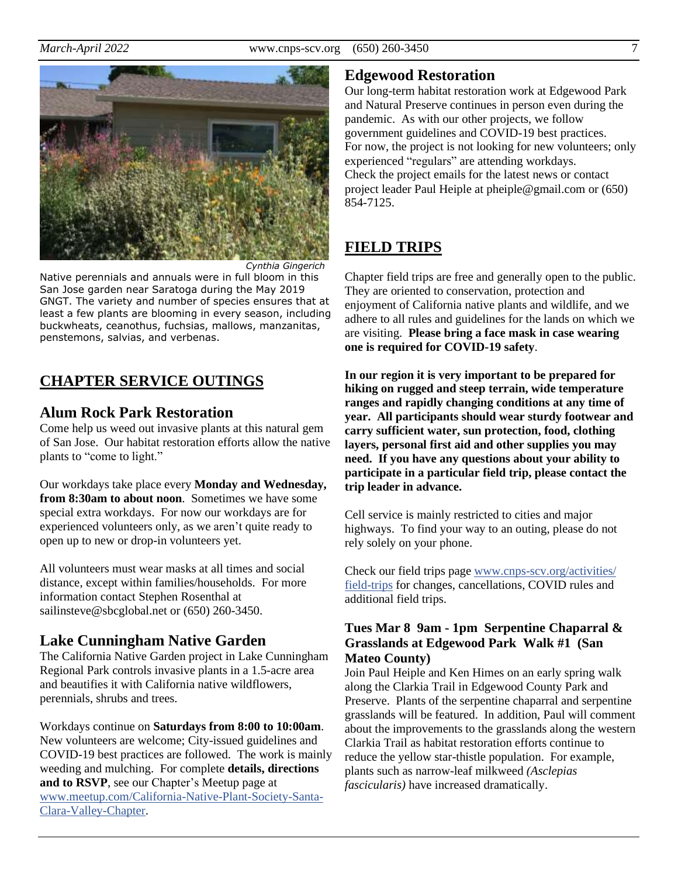



Native perennials and annuals were in full bloom in this San Jose garden near Saratoga during the May 2019 GNGT. The variety and number of species ensures that at least a few plants are blooming in every season, including buckwheats, ceanothus, fuchsias, mallows, manzanitas, penstemons, salvias, and verbenas.

# **CHAPTER SERVICE OUTINGS**

## **Alum Rock Park Restoration**

Come help us weed out invasive plants at this natural gem of San Jose. Our habitat restoration efforts allow the native plants to "come to light."

Our workdays take place every **Monday and Wednesday, from 8:30am to about noon**. Sometimes we have some special extra workdays. For now our workdays are for experienced volunteers only, as we aren't quite ready to open up to new or drop-in volunteers yet.

All volunteers must wear masks at all times and social distance, except within families/households. For more information contact Stephen Rosenthal at sailinsteve@sbcglobal.net or (650) 260-3450.

## **Lake Cunningham Native Garden**

The California Native Garden project in Lake Cunningham Regional Park controls invasive plants in a 1.5-acre area and beautifies it with California native wildflowers, perennials, shrubs and trees.

Workdays continue on **Saturdays from 8:00 to 10:00am**. New volunteers are welcome; City-issued guidelines and COVID-19 best practices are followed. The work is mainly weeding and mulching. For complete **details, directions and to RSVP**, see our Chapter's Meetup page at [www.meetup.com/California-Native-Plant-Society-Santa-](https://www.meetup.com/California-Native-Plant-Society-Santa-Clara-Valley-Chapter/)[Clara-Valley-Chapter.](https://www.meetup.com/California-Native-Plant-Society-Santa-Clara-Valley-Chapter/)

## **Edgewood Restoration**

Our long-term habitat restoration work at Edgewood Park and Natural Preserve continues in person even during the pandemic. As with our other projects, we follow government guidelines and COVID-19 best practices. For now, the project is not looking for new volunteers; only experienced "regulars" are attending workdays. Check the project emails for the latest news or contact project leader Paul Heiple at pheiple@gmail.com or (650) 854-7125.

# **FIELD TRIPS**

Chapter field trips are free and generally open to the public. They are oriented to conservation, protection and enjoyment of California native plants and wildlife, and we adhere to all rules and guidelines for the lands on which we are visiting. **Please bring a face mask in case wearing one is required for COVID-19 safety**.

**In our region it is very important to be prepared for hiking on rugged and steep terrain, wide temperature ranges and rapidly changing conditions at any time of year. All participants should wear sturdy footwear and carry sufficient water, sun protection, food, clothing layers, personal first aid and other supplies you may need. If you have any questions about your ability to participate in a particular field trip, please contact the trip leader in advance.**

Cell service is mainly restricted to cities and major highways. To find your way to an outing, please do not rely solely on your phone.

Check our field trips page [www.cnps-scv.org/activities/](https://www.cnps-scv.org/activities/field-trips/) [field-trips](https://www.cnps-scv.org/activities/field-trips/) for changes, cancellations, COVID rules and additional field trips.

#### **Tues Mar 8 9am - 1pm Serpentine Chaparral & Grasslands at Edgewood Park Walk #1 (San Mateo County)**

Join Paul Heiple and Ken Himes on an early spring walk along the Clarkia Trail in Edgewood County Park and Preserve. Plants of the serpentine chaparral and serpentine grasslands will be featured. In addition, Paul will comment about the improvements to the grasslands along the western Clarkia Trail as habitat restoration efforts continue to reduce the yellow star-thistle population. For example, plants such as narrow-leaf milkweed *(Asclepias fascicularis)* have increased dramatically.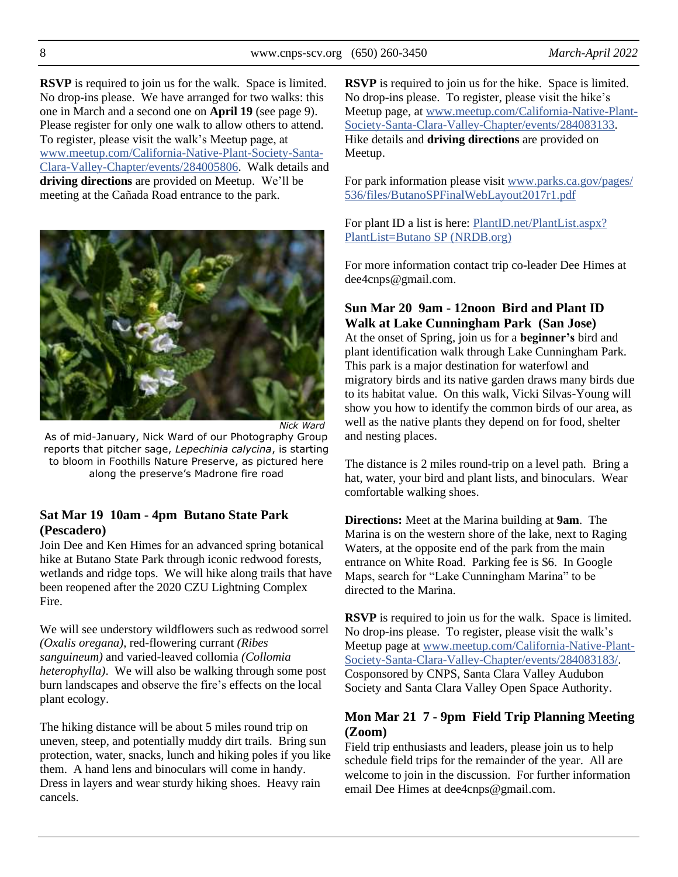8 www.cnps-scv.org (650) 260-3450 *March-April 2022*

**RSVP** is required to join us for the walk. Space is limited. No drop-ins please. We have arranged for two walks: this one in March and a second one on **April 19** (see page 9). Please register for only one walk to allow others to attend. To register, please visit the walk's Meetup page, at [www.meetup.com/California-Native-Plant-Society-Santa-](https://www.meetup.com/California-Native-Plant-Society-Santa-Clara-Valley-Chapter/events/284005806/)[Clara-Valley-Chapter/events/284005806.](https://www.meetup.com/California-Native-Plant-Society-Santa-Clara-Valley-Chapter/events/284005806/) Walk details and **driving directions** are provided on Meetup. We'll be meeting at the Cañada Road entrance to the park.



*Nick Ward* As of mid-January, Nick Ward of our Photography Group reports that pitcher sage, *Lepechinia calycina*, is starting to bloom in Foothills Nature Preserve, as pictured here along the preserve's Madrone fire road

#### **Sat Mar 19 10am - 4pm Butano State Park (Pescadero)**

Join Dee and Ken Himes for an advanced spring botanical hike at Butano State Park through iconic redwood forests, wetlands and ridge tops. We will hike along trails that have been reopened after the 2020 CZU Lightning Complex Fire.

We will see understory wildflowers such as redwood sorrel *(Oxalis oregana)*, red-flowering currant *(Ribes sanguineum)* and varied-leaved collomia *(Collomia heterophylla)*. We will also be walking through some post burn landscapes and observe the fire's effects on the local plant ecology.

The hiking distance will be about 5 miles round trip on uneven, steep, and potentially muddy dirt trails. Bring sun protection, water, snacks, lunch and hiking poles if you like them. A hand lens and binoculars will come in handy. Dress in layers and wear sturdy hiking shoes. Heavy rain cancels.

**RSVP** is required to join us for the hike. Space is limited. No drop-ins please. To register, please visit the hike's Meetup page, a[t www.meetup.com/California-Native-Plant-](https://www.meetup.com/California-Native-Plant-Society-Santa-Clara-Valley-Chapter/events/284083133/)[Society-Santa-Clara-Valley-Chapter/events/284083133.](https://www.meetup.com/California-Native-Plant-Society-Santa-Clara-Valley-Chapter/events/284083133/) Hike details and **driving directions** are provided on Meetup.

For park information please visit [www.parks.ca.gov/pages/](https://www.parks.ca.gov/pages/536/files/ButanoSPFinalWebLayout2017r1.pdf) [536/files/ButanoSPFinalWebLayout2017r1.pdf](https://www.parks.ca.gov/pages/536/files/ButanoSPFinalWebLayout2017r1.pdf)

For plant ID a list is here: **PlantID.net/PlantList.aspx?** [PlantList=Butano SP \(NRDB.org\)](http://plantid.net/PlantList.aspx?PlantList=Butano%20SP%20(NRDB.org))

For more information contact trip co-leader Dee Himes at dee4cnps@gmail.com.

# **Sun Mar 20 9am - 12noon Bird and Plant ID**

**Walk at Lake Cunningham Park (San Jose)** At the onset of Spring, join us for a **beginner's** bird and plant identification walk through Lake Cunningham Park. This park is a major destination for waterfowl and migratory birds and its native garden draws many birds due to its habitat value. On this walk, Vicki Silvas-Young will show you how to identify the common birds of our area, as well as the native plants they depend on for food, shelter and nesting places.

The distance is 2 miles round-trip on a level path. Bring a hat, water, your bird and plant lists, and binoculars. Wear comfortable walking shoes.

**Directions:** Meet at the Marina building at **9am**. The Marina is on the western shore of the lake, next to Raging Waters, at the opposite end of the park from the main entrance on White Road. Parking fee is \$6. In Google Maps, search for "Lake Cunningham Marina" to be directed to the Marina.

**RSVP** is required to join us for the walk. Space is limited. No drop-ins please. To register, please visit the walk's Meetup page at [www.meetup.com/California-Native-Plant-](https://www.meetup.com/California-Native-Plant-Society-Santa-Clara-Valley-Chapter/events/284083183/)[Society-Santa-Clara-Valley-Chapter/events/284083183/](https://www.meetup.com/California-Native-Plant-Society-Santa-Clara-Valley-Chapter/events/284083183/). Cosponsored by CNPS, Santa Clara Valley Audubon Society and Santa Clara Valley Open Space Authority.

#### **Mon Mar 21 7 - 9pm Field Trip Planning Meeting (Zoom)**

Field trip enthusiasts and leaders, please join us to help schedule field trips for the remainder of the year. All are welcome to join in the discussion. For further information email Dee Himes at dee4cnps@gmail.com.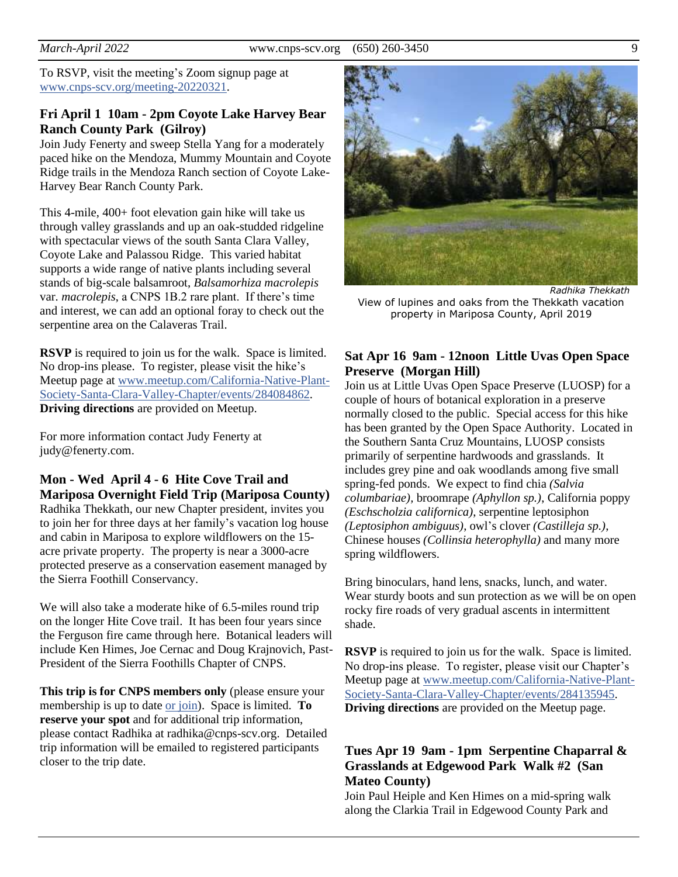To RSVP, visit the meeting's Zoom signup page at [www.cnps-scv.org/meeting-20220321.](https://cnps-scv.org/meeting-20220321)

#### **Fri April 1 10am - 2pm Coyote Lake Harvey Bear Ranch County Park (Gilroy)**

Join Judy Fenerty and sweep Stella Yang for a moderately paced hike on the Mendoza, Mummy Mountain and Coyote Ridge trails in the Mendoza Ranch section of Coyote Lake-Harvey Bear Ranch County Park.

This 4-mile, 400+ foot elevation gain hike will take us through valley grasslands and up an oak-studded ridgeline with spectacular views of the south Santa Clara Valley, Coyote Lake and Palassou Ridge. This varied habitat supports a wide range of native plants including several stands of big-scale balsamroot, *Balsamorhiza macrolepis*  var*. macrolepis*, a CNPS 1B.2 rare plant. If there's time and interest, we can add an optional foray to check out the serpentine area on the Calaveras Trail.

**RSVP** is required to join us for the walk. Space is limited. No drop-ins please. To register, please visit the hike's Meetup page at [www.meetup.com/California-Native-Plant-](https://www.meetup.com/California-Native-Plant-Society-Santa-Clara-Valley-Chapter/events/284084862/)[Society-Santa-Clara-Valley-Chapter/events/284084862.](https://www.meetup.com/California-Native-Plant-Society-Santa-Clara-Valley-Chapter/events/284084862/) **Driving directions** are provided on Meetup.

For more information contact Judy Fenerty at judy@fenerty.com.

## **Mon - Wed April 4 - 6 Hite Cove Trail and Mariposa Overnight Field Trip (Mariposa County)**

Radhika Thekkath, our new Chapter president, invites you to join her for three days at her family's vacation log house and cabin in Mariposa to explore wildflowers on the 15 acre private property. The property is near a 3000-acre protected preserve as a conservation easement managed by the Sierra Foothill Conservancy.

We will also take a moderate hike of 6.5-miles round trip on the longer Hite Cove trail. It has been four years since the Ferguson fire came through here. Botanical leaders will include Ken Himes, Joe Cernac and Doug Krajnovich, Past-President of the Sierra Foothills Chapter of CNPS.

**This trip is for CNPS members only** (please ensure your membership is up to date or [join\)](https://www.cnps.org/membership/). Space is limited. **To reserve your spot** and for additional trip information, please contact Radhika at radhika@cnps-scv.org. Detailed trip information will be emailed to registered participants closer to the trip date.



*Radhika Thekkath* View of lupines and oaks from the Thekkath vacation property in Mariposa County, April 2019

#### **Sat Apr 16 9am - 12noon Little Uvas Open Space Preserve (Morgan Hill)**

Join us at Little Uvas Open Space Preserve (LUOSP) for a couple of hours of botanical exploration in a preserve normally closed to the public. Special access for this hike has been granted by the Open Space Authority. Located in the Southern Santa Cruz Mountains, LUOSP consists primarily of serpentine hardwoods and grasslands. It includes grey pine and oak woodlands among five small spring-fed ponds. We expect to find chia *(Salvia columbariae),* broomrape *(Aphyllon sp.)*, California poppy *(Eschscholzia californica)*, serpentine leptosiphon *(Leptosiphon ambiguus)*, owl's clover *(Castilleja sp.)*, Chinese houses *(Collinsia heterophylla)* and many more spring wildflowers.

Bring binoculars, hand lens, snacks, lunch, and water. Wear sturdy boots and sun protection as we will be on open rocky fire roads of very gradual ascents in intermittent shade.

**RSVP** is required to join us for the walk. Space is limited. No drop-ins please. To register, please visit our Chapter's Meetup page at [www.meetup.com/California-Native-Plant-](https://www.meetup.com/California-Native-Plant-Society-Santa-Clara-Valley-Chapter/events/284135945/)[Society-Santa-Clara-Valley-Chapter/events/284135945.](https://www.meetup.com/California-Native-Plant-Society-Santa-Clara-Valley-Chapter/events/284135945/) **Driving directions** are provided on the Meetup page.

#### **Tues Apr 19 9am - 1pm Serpentine Chaparral & Grasslands at Edgewood Park Walk #2 (San Mateo County)**

Join Paul Heiple and Ken Himes on a mid-spring walk along the Clarkia Trail in Edgewood County Park and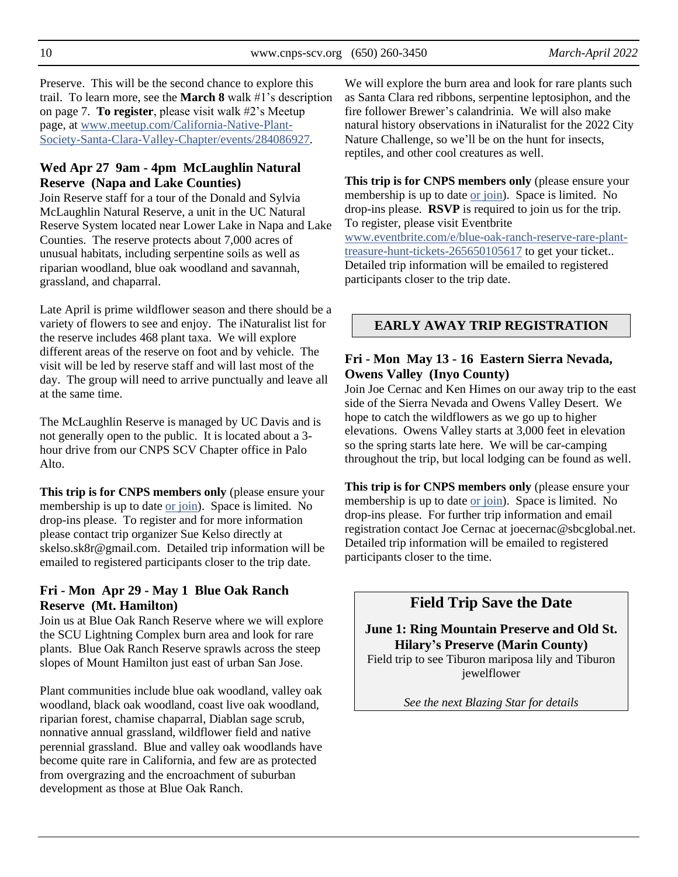Preserve. This will be the second chance to explore this trail. To learn more, see the **March 8** walk #1's description on page 7. **To register**, please visit walk #2's Meetup page, at [www.meetup.com/California-Native-Plant-](https://www.meetup.com/California-Native-Plant-Society-Santa-Clara-Valley-Chapter/events/284086927/)[Society-Santa-Clara-Valley-Chapter/events/284086927.](https://www.meetup.com/California-Native-Plant-Society-Santa-Clara-Valley-Chapter/events/284086927/)

#### **Wed Apr 27 9am - 4pm McLaughlin Natural Reserve (Napa and Lake Counties)**

Join Reserve staff for a tour of the Donald and Sylvia McLaughlin Natural Reserve, a unit in the UC Natural Reserve System located near Lower Lake in Napa and Lake Counties. The reserve protects about 7,000 acres of unusual habitats, including serpentine soils as well as riparian woodland, blue oak woodland and savannah, grassland, and chaparral.

Late April is prime wildflower season and there should be a variety of flowers to see and enjoy. The iNaturalist list for the reserve includes 468 plant taxa. We will explore different areas of the reserve on foot and by vehicle. The visit will be led by reserve staff and will last most of the day. The group will need to arrive punctually and leave all at the same time.

The McLaughlin Reserve is managed by UC Davis and is not generally open to the public. It is located about a 3 hour drive from our CNPS SCV Chapter office in Palo Alto.

**This trip is for CNPS members only** (please ensure your membership is up to date [or join\)](https://www.cnps.org/membership/). Space is limited. No drop-ins please. To register and for more information please contact trip organizer Sue Kelso directly at skelso.sk8r@gmail.com. Detailed trip information will be emailed to registered participants closer to the trip date.

#### **Fri - Mon Apr 29 - May 1 Blue Oak Ranch Reserve (Mt. Hamilton)**

Join us at Blue Oak Ranch Reserve where we will explore the SCU Lightning Complex burn area and look for rare plants. Blue Oak Ranch Reserve sprawls across the steep slopes of Mount Hamilton just east of urban San Jose.

Plant communities include blue oak woodland, valley oak woodland, black oak woodland, coast live oak woodland, riparian forest, chamise chaparral, Diablan sage scrub, nonnative annual grassland, wildflower field and native perennial grassland. Blue and valley oak woodlands have become quite rare in California, and few are as protected from overgrazing and the encroachment of suburban development as those at Blue Oak Ranch.

We will explore the burn area and look for rare plants such as Santa Clara red ribbons, serpentine leptosiphon, and the fire follower Brewer's calandrinia. We will also make natural history observations in iNaturalist for the 2022 City Nature Challenge, so we'll be on the hunt for insects, reptiles, and other cool creatures as well.

**This trip is for CNPS members only** (please ensure your membership is up to date [or join\)](https://www.cnps.org/membership/). Space is limited. No drop-ins please. **RSVP** is required to join us for the trip. To register, please visit Eventbrite [www.eventbrite.com/e/blue-oak-ranch-reserve-rare-plant](https://www.eventbrite.com/e/blue-oak-ranch-reserve-rare-plant-treasure-hunt-tickets-265650105617)[treasure-hunt-tickets-265650105617](https://www.eventbrite.com/e/blue-oak-ranch-reserve-rare-plant-treasure-hunt-tickets-265650105617) to get your ticket.. Detailed trip information will be emailed to registered participants closer to the trip date.

## **EARLY AWAY TRIP REGISTRATION**

#### **Fri - Mon May 13 - 16 Eastern Sierra Nevada, Owens Valley (Inyo County)**

Join Joe Cernac and Ken Himes on our away trip to the east side of the Sierra Nevada and Owens Valley Desert. We hope to catch the wildflowers as we go up to higher elevations. Owens Valley starts at 3,000 feet in elevation so the spring starts late here. We will be car-camping throughout the trip, but local lodging can be found as well.

**This trip is for CNPS members only** (please ensure your membership is up to date [or join\)](https://www.cnps.org/membership/). Space is limited. No drop-ins please. For further trip information and email registration contact Joe Cernac at joecernac@sbcglobal.net. Detailed trip information will be emailed to registered participants closer to the time.

## **Field Trip Save the Date**

#### **June 1: Ring Mountain Preserve and Old St. Hilary's Preserve (Marin County)**

Field trip to see Tiburon mariposa lily and Tiburon jewelflower

*See the next Blazing Star for details*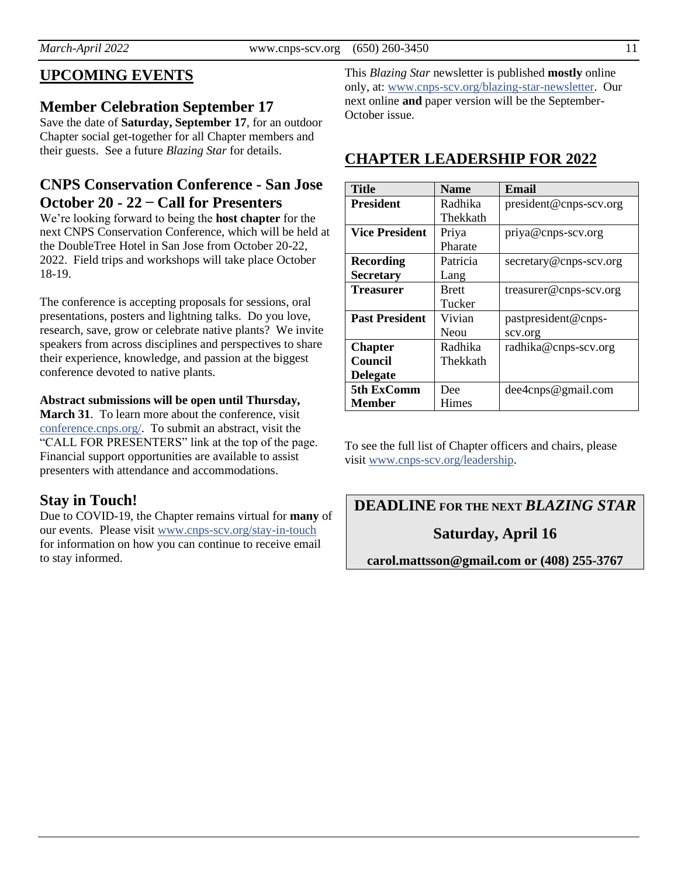# **UPCOMING EVENTS**

## **Member Celebration September 17**

Save the date of **Saturday, September 17**, for an outdoor Chapter social get-together for all Chapter members and their guests. See a future *Blazing Star* for details.

## **CNPS Conservation Conference - San Jose October 20 - 22 ̶ Call for Presenters**

We're looking forward to being the **host chapter** for the next CNPS Conservation Conference, which will be held at the DoubleTree Hotel in San Jose from October 20-22, 2022. Field trips and workshops will take place October 18-19.

The conference is accepting proposals for sessions, oral presentations, posters and lightning talks. Do you love, research, save, grow or celebrate native plants? We invite speakers from across disciplines and perspectives to share their experience, knowledge, and passion at the biggest conference devoted to native plants.

#### **Abstract submissions will be open until Thursday,**

**March 31**. To learn more about the conference, visit [conference.cnps.org/.](https://conference.cnps.org/) To submit an abstract, visit the "CALL FOR PRESENTERS" link at the top of the page. Financial support opportunities are available to assist presenters with attendance and accommodations.

## **Stay in Touch!**

Due to COVID-19, the Chapter remains virtual for **many** of our events. Please visit [www.cnps-scv.org/stay-in-touch](https://www.cnps-scv.org/stay-in-touch) for information on how you can continue to receive email to stay informed.

This *Blazing Star* newsletter is published **mostly** online only, at: [www.cnps-scv.org/blazing-star-newsletter.](https://www.cnps-scv.org/blazing-star-newsletter) Our next online **and** paper version will be the September-October issue.

# **CHAPTER LEADERSHIP FOR 2022**

| <b>Title</b>          | <b>Name</b>  | <b>Email</b>           |
|-----------------------|--------------|------------------------|
| <b>President</b>      | Radhika      | president@cnps-scv.org |
|                       | Thekkath     |                        |
| <b>Vice President</b> | Priya        | priya@cnps-scv.org     |
|                       | Pharate      |                        |
| <b>Recording</b>      | Patricia     | secretary@cnps-scv.org |
| <b>Secretary</b>      | Lang         |                        |
| <b>Treasurer</b>      | <b>Brett</b> | treasurer@cnps-scv.org |
|                       | Tucker       |                        |
| <b>Past President</b> | Vivian       | pastpresident@cnps-    |
|                       | Neou         | scv.org                |
| <b>Chapter</b>        | Radhika      | radhika@cnps-scv.org   |
| Council               | Thekkath     |                        |
| <b>Delegate</b>       |              |                        |
| 5th ExComm            | Dee          | dee4cnps@gmail.com     |
| Member                | Himes        |                        |

To see the full list of Chapter officers and chairs, please visit [www.cnps-scv.org/leadership.](https://cnps-scv.org/leadership)

**DEADLINE FOR THE NEXT** *BLAZING STAR*

## **Saturday, April 16**

**carol.mattsson@gmail.com or (408) 255-3767**